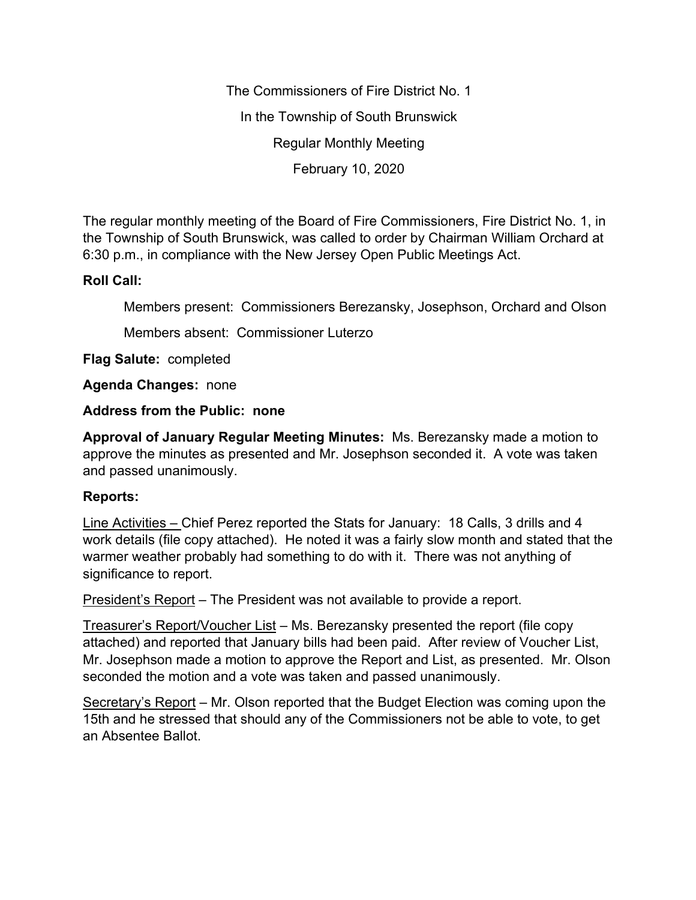The Commissioners of Fire District No. 1 In the Township of South Brunswick Regular Monthly Meeting February 10, 2020

The regular monthly meeting of the Board of Fire Commissioners, Fire District No. 1, in the Township of South Brunswick, was called to order by Chairman William Orchard at 6:30 p.m., in compliance with the New Jersey Open Public Meetings Act.

## **Roll Call:**

Members present: Commissioners Berezansky, Josephson, Orchard and Olson

Members absent: Commissioner Luterzo

**Flag Salute:** completed

**Agenda Changes:** none

## **Address from the Public: none**

**Approval of January Regular Meeting Minutes:** Ms. Berezansky made a motion to approve the minutes as presented and Mr. Josephson seconded it. A vote was taken and passed unanimously.

## **Reports:**

Line Activities – Chief Perez reported the Stats for January: 18 Calls, 3 drills and 4 work details (file copy attached). He noted it was a fairly slow month and stated that the warmer weather probably had something to do with it. There was not anything of significance to report.

President's Report – The President was not available to provide a report.

Treasurer's Report/Voucher List – Ms. Berezansky presented the report (file copy attached) and reported that January bills had been paid. After review of Voucher List, Mr. Josephson made a motion to approve the Report and List, as presented. Mr. Olson seconded the motion and a vote was taken and passed unanimously.

Secretary's Report – Mr. Olson reported that the Budget Election was coming upon the 15th and he stressed that should any of the Commissioners not be able to vote, to get an Absentee Ballot.